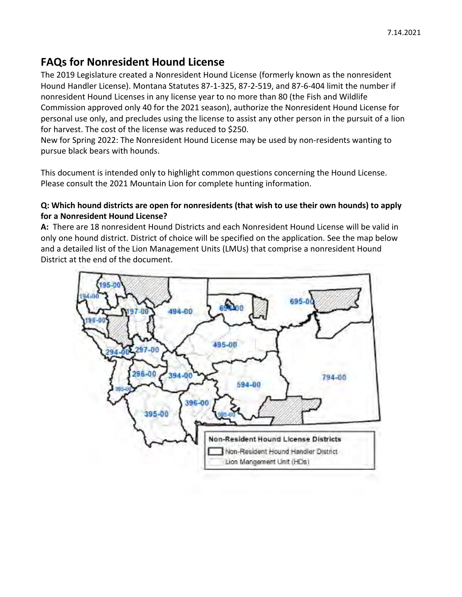# **FAQs for Nonresident Hound License**

The 2019 Legislature created a Nonresident Hound License (formerly known as the nonresident Hound Handler License). Montana Statutes 87-1-325, 87-2-519, and 87-6-404 limit the number if nonresident Hound Licenses in any license year to no more than 80 (the Fish and Wildlife Commission approved only 40 for the 2021 season), authorize the Nonresident Hound License for personal use only, and precludes using the license to assist any other person in the pursuit of a lion for harvest. The cost of the license was reduced to \$250.

New for Spring 2022: The Nonresident Hound License may be used by non-residents wanting to pursue black bears with hounds.

This document is intended only to highlight common questions concerning the Hound License. Please consult the 2021 Mountain Lion for complete hunting information.

### **Q: Which hound districts are open for nonresidents (that wish to use their own hounds) to apply for a Nonresident Hound License?**

**A:** There are 18 nonresident Hound Districts and each Nonresident Hound License will be valid in only one hound district. District of choice will be specified on the application. See the map below and a detailed list of the Lion Management Units (LMUs) that comprise a nonresident Hound District at the end of the document.

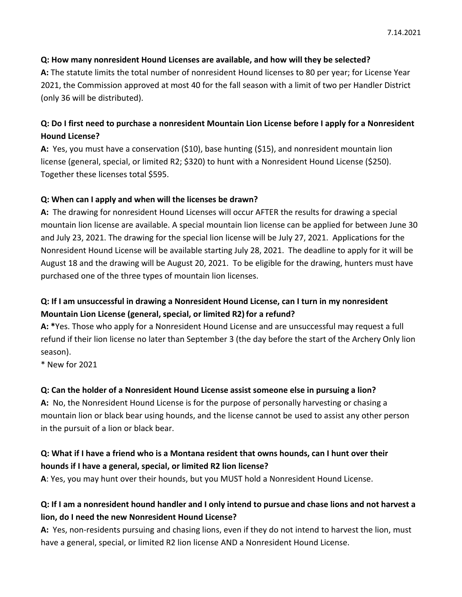### **Q: How many nonresident Hound Licenses are available, and how will they be selected?**

**A:** The statute limits the total number of nonresident Hound licenses to 80 per year; for License Year 2021, the Commission approved at most 40 for the fall season with a limit of two per Handler District (only 36 will be distributed).

### **Q: Do I first need to purchase a nonresident Mountain Lion License before I apply for a Nonresident Hound License?**

**A:** Yes, you must have a conservation (\$10), base hunting (\$15), and nonresident mountain lion license (general, special, or limited R2; \$320) to hunt with a Nonresident Hound License (\$250). Together these licenses total \$595.

### **Q: When can I apply and when will the licenses be drawn?**

**A:** The drawing for nonresident Hound Licenses will occur AFTER the results for drawing a special mountain lion license are available. A special mountain lion license can be applied for between June 30 and July 23, 2021. The drawing for the special lion license will be July 27, 2021. Applications for the Nonresident Hound License will be available starting July 28, 2021. The deadline to apply for it will be August 18 and the drawing will be August 20, 2021. To be eligible for the drawing, hunters must have purchased one of the three types of mountain lion licenses.

### **Q: If I am unsuccessful in drawing a Nonresident Hound License, can I turn in my nonresident Mountain Lion License (general, special, or limited R2)for a refund?**

**A: \***Yes. Those who apply for a Nonresident Hound License and are unsuccessful may request a full refund if their lion license no later than September 3 (the day before the start of the Archery Only lion season).

\* New for 2021

### **Q: Can the holder of a Nonresident Hound License assist someone else in pursuing a lion?**

**A:** No, the Nonresident Hound License is for the purpose of personally harvesting or chasing a mountain lion or black bear using hounds, and the license cannot be used to assist any other person in the pursuit of a lion or black bear.

### **Q: What if I have a friend who is a Montana resident that owns hounds, can I hunt over their hounds if I have a general, special, or limited R2 lion license?**

**A**: Yes, you may hunt over their hounds, but you MUST hold a Nonresident Hound License.

### **Q: If I am a nonresident hound handler and I only intend to pursue and chase lions and not harvest a lion, do I need the new Nonresident Hound License?**

**A:** Yes, non-residents pursuing and chasing lions, even if they do not intend to harvest the lion, must have a general, special, or limited R2 lion license AND a Nonresident Hound License.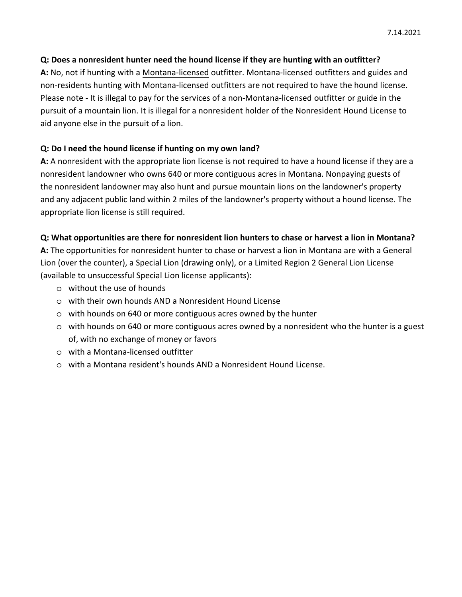### **Q: Does a nonresident hunter need the hound license if they are hunting with an outfitter?**

**A:** No, not if hunting with a Montana-licensed outfitter. Montana-licensed outfitters and guides and non-residents hunting with Montana-licensed outfitters are not required to have the hound license. Please note - It is illegal to pay for the services of a non-Montana-licensed outfitter or guide in the pursuit of a mountain lion. It is illegal for a nonresident holder of the Nonresident Hound License to aid anyone else in the pursuit of a lion.

#### **Q: Do I need the hound license if hunting on my own land?**

**A:** A nonresident with the appropriate lion license is not required to have a hound license if they are a nonresident landowner who owns 640 or more contiguous acres in Montana. Nonpaying guests of the nonresident landowner may also hunt and pursue mountain lions on the landowner's property and any adjacent public land within 2 miles of the landowner's property without a hound license. The appropriate lion license is still required.

#### **Q: What opportunities are there for nonresident lion hunters to chase or harvest a lion in Montana?**

**A:** The opportunities for nonresident hunter to chase or harvest a lion in Montana are with a General Lion (over the counter), a Special Lion (drawing only), or a Limited Region 2 General Lion License (available to unsuccessful Special Lion license applicants):

- o without the use of hounds
- o with their own hounds AND a Nonresident Hound License
- o with hounds on 640 or more contiguous acres owned by the hunter
- o with hounds on 640 or more contiguous acres owned by a nonresident who the hunter is a guest of, with no exchange of money or favors
- o with a Montana-licensed outfitter
- o with a Montana resident's hounds AND a Nonresident Hound License.